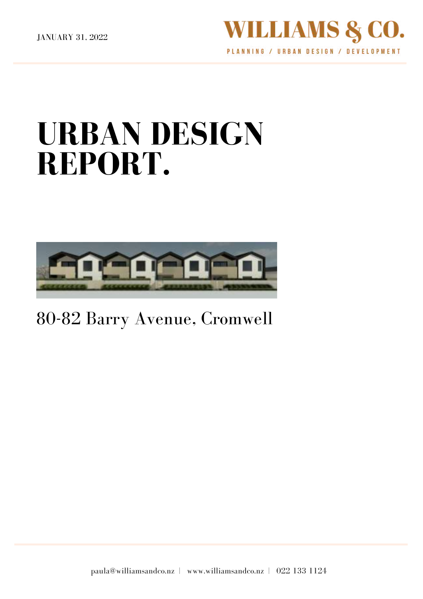

# **URBAN DESIGN REPORT.**



# 80-82 Barry Avenue, Cromwell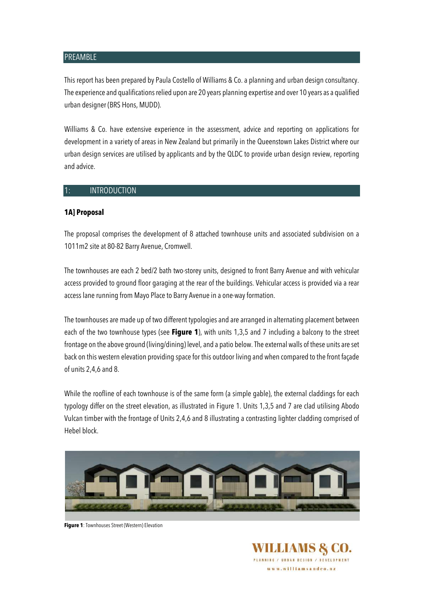#### PREAMBLE

This report has been prepared by Paula Costello of Williams & Co. a planning and urban design consultancy. The experience and qualifications relied upon are 20 years planning expertise and over 10 years as a qualified urban designer (BRS Hons, MUDD).

Williams & Co. have extensive experience in the assessment, advice and reporting on applications for development in a variety of areas in New Zealand but primarily in the Queenstown Lakes District where our urban design services are utilised by applicants and by the QLDC to provide urban design review, reporting and advice.

#### 1: INTRODUCTION

#### **1A] Proposal**

The proposal comprises the development of 8 attached townhouse units and associated subdivision on a 1011m2 site at 80-82 Barry Avenue, Cromwell.

The townhouses are each 2 bed/2 bath two-storey units, designed to front Barry Avenue and with vehicular access provided to ground floor garaging at the rear of the buildings. Vehicular access is provided via a rear access lane running from Mayo Place to Barry Avenue in a one-way formation.

The townhouses are made up of two different typologies and are arranged in alternating placement between each of the two townhouse types (see **Figure 1**), with units 1,3,5 and 7 including a balcony to the street frontage on the above ground (living/dining) level, and a patio below. The external walls of these units are set back on this western elevation providing space for this outdoor living and when compared to the front façade of units 2,4,6 and 8.

While the roofline of each townhouse is of the same form (a simple gable), the external claddings for each typology differ on the street elevation, as illustrated in Figure 1. Units 1,3,5 and 7 are clad utilising Abodo Vulcan timber with the frontage of Units 2,4,6 and 8 illustrating a contrasting lighter cladding comprised of Hebel block.



**Figure 1**: Townhouses Street (Western) Elevation

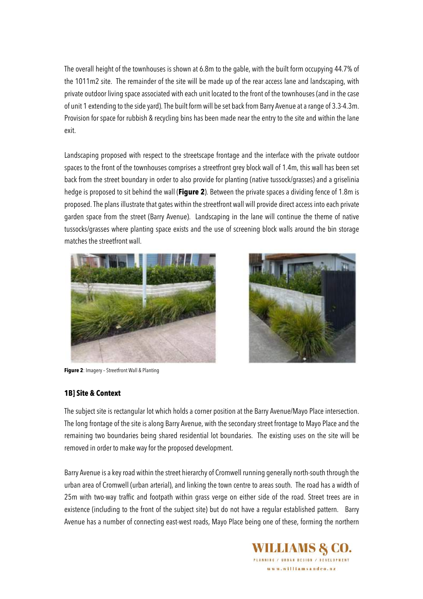The overall height of the townhouses is shown at 6.8m to the gable, with the built form occupying 44.7% of the 1011m2 site. The remainder of the site will be made up of the rear access lane and landscaping, with private outdoor living space associated with each unit located to the front of the townhouses (and in the case of unit 1 extending to the side yard). The built form will be set back from Barry Avenue at a range of 3.3-4.3m. Provision for space for rubbish & recycling bins has been made near the entry to the site and within the lane exit.

Landscaping proposed with respect to the streetscape frontage and the interface with the private outdoor spaces to the front of the townhouses comprises a streetfront grey block wall of 1.4m, this wall has been set back from the street boundary in order to also provide for planting (native tussock/grasses) and a griselinia hedge is proposed to sit behind the wall (**Figure 2**). Between the private spaces a dividing fence of 1.8m is proposed. The plans illustrate that gates within the streetfront wall will provide direct access into each private garden space from the street (Barry Avenue). Landscaping in the lane will continue the theme of native tussocks/grasses where planting space exists and the use of screening block walls around the bin storage matches the streetfront wall.



**Figure 2**: Imagery – Streetfront Wall & Planting



#### **1B] Site & Context**

The subject site is rectangular lot which holds a corner position at the Barry Avenue/Mayo Place intersection. The long frontage of the site is along Barry Avenue, with the secondary street frontage to Mayo Place and the remaining two boundaries being shared residential lot boundaries. The existing uses on the site will be removed in order to make way for the proposed development.

Barry Avenue is a key road within the street hierarchy of Cromwell running generally north-south through the urban area of Cromwell (urban arterial), and linking the town centre to areas south. The road has a width of 25m with two-way traffic and footpath within grass verge on either side of the road. Street trees are in existence (including to the front of the subject site) but do not have a regular established pattern. Barry Avenue has a number of connecting east-west roads, Mayo Place being one of these, forming the northern

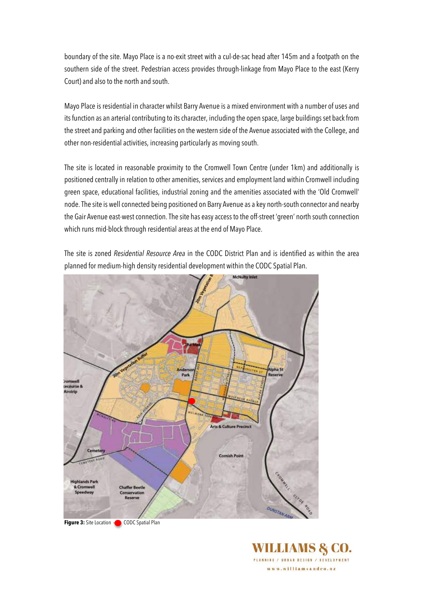boundary of the site. Mayo Place is a no-exit street with a cul-de-sac head after 145m and a footpath on the southern side of the street. Pedestrian access provides through-linkage from Mayo Place to the east (Kerry Court) and also to the north and south.

Mayo Place is residential in character whilst Barry Avenue is a mixed environment with a number of uses and its function as an arterial contributing to its character, including the open space, large buildings set back from the street and parking and other facilities on the western side of the Avenue associated with the College, and other non-residential activities, increasing particularly as moving south.

The site is located in reasonable proximity to the Cromwell Town Centre (under 1km) and additionally is positioned centrally in relation to other amenities, services and employment land within Cromwell including green space, educational facilities, industrial zoning and the amenities associated with the 'Old Cromwell' node. The site is well connected being positioned on Barry Avenue as a key north-south connector and nearby the Gair Avenue east-west connection. The site has easy access to the off-street 'green' north south connection which runs mid-block through residential areas at the end of Mayo Place.

The site is zoned *Residential Resource Area* in the CODC District Plan and is identified as within the area planned for medium-high density residential development within the CODC Spatial Plan.



**Figure 3:** Site Location  $\bullet$  CODC Spatial Plan

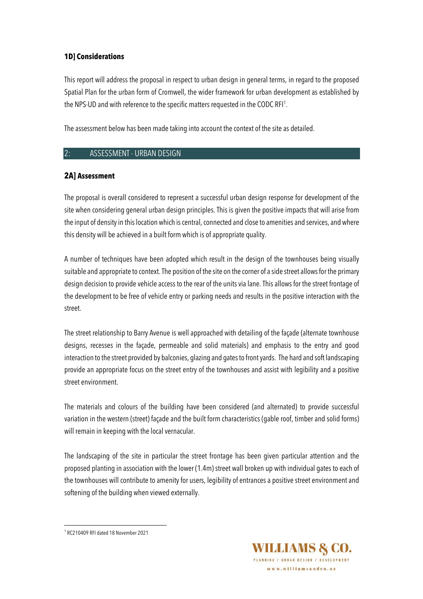### **1D] Considerations**

This report will address the proposal in respect to urban design in general terms, in regard to the proposed Spatial Plan for the urban form of Cromwell, the wider framework for urban development as established by the NPS-UD and with reference to the specific matters requested in the CODC RFI<sup>1</sup>.

The assessment below has been made taking into account the context of the site as detailed.

#### 2: ASSESSMENT - URBAN DESIGN

#### **2A] Assessment**

The proposal is overall considered to represent a successful urban design response for development of the site when considering general urban design principles. This is given the positive impacts that will arise from the input of densityin this location which is central, connected and close to amenities and services, and where this density will be achieved in a built form which is of appropriate quality.

A number of techniques have been adopted which result in the design of the townhouses being visually suitable and appropriate to context.The position of the site on the corner of a side street allows for the primary design decision to provide vehicle access to the rear of the units via lane. This allows for the street frontage of the development to be free of vehicle entry or parking needs and results in the positive interaction with the street.

The street relationship to Barry Avenue is well approached with detailing of the façade (alternate townhouse designs, recesses in the façade, permeable and solid materials) and emphasis to the entry and good interaction to the street provided by balconies, glazing and gates to front yards. The hard and soft landscaping provide an appropriate focus on the street entry of the townhouses and assist with legibility and a positive street environment.

The materials and colours of the building have been considered (and alternated) to provide successful variation in the western (street) façade and the built form characteristics (gable roof, timber and solid forms) will remain in keeping with the local vernacular.

The landscaping of the site in particular the street frontage has been given particular attention and the proposed planting in association with the lower (1.4m) street wall broken up with individual gates to each of the townhouses will contribute to amenity for users, legibility of entrances a positive street environment and softening of the building when viewed externally.



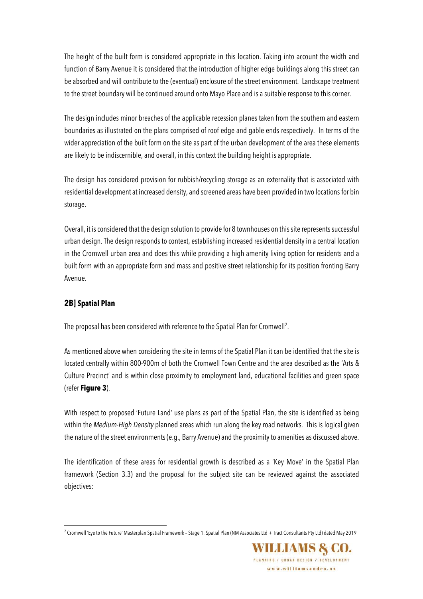The height of the built form is considered appropriate in this location. Taking into account the width and function of Barry Avenue it is considered that the introduction of higher edge buildings along this street can be absorbed and will contribute to the (eventual) enclosure of the street environment. Landscape treatment to the street boundary will be continued around onto Mayo Place and is a suitable response to this corner.

The design includes minor breaches of the applicable recession planes taken from the southern and eastern boundaries as illustrated on the plans comprised of roof edge and gable ends respectively. In terms of the wider appreciation of the built form on the site as part of the urban development of the area these elements are likely to be indiscernible, and overall, in this context the building height is appropriate.

The design has considered provision for rubbish/recycling storage as an externality that is associated with residential development at increased density, and screened areas have been provided in two locations for bin storage.

Overall, it is considered that the design solution to provide for 8 townhouses on this site represents successful urban design. The design responds to context, establishing increased residential density in a central location in the Cromwell urban area and does this while providing a high amenity living option for residents and a built form with an appropriate form and mass and positive street relationship for its position fronting Barry Avenue.

# **2B] Spatial Plan**

The proposal has been considered with reference to the Spatial Plan for Cromwell<sup>2</sup>.

As mentioned above when considering the site in terms of the Spatial Plan it can be identified that the site is located centrally within 800-900m of both the Cromwell Town Centre and the area described as the 'Arts & Culture Precinct' and is within close proximity to employment land, educational facilities and green space (refer **Figure 3**).

With respect to proposed 'Future Land' use plans as part of the Spatial Plan, the site is identified as being within the *Medium-High Density* planned areas which run along the key road networks. This is logical given the nature of the street environments (e.g., Barry Avenue) and the proximity to amenities as discussed above.

The identification of these areas for residential growth is described as a 'Key Move' in the Spatial Plan framework (Section 3.3) and the proposal for the subject site can be reviewed against the associated objectives:

<sup>&</sup>lt;sup>2</sup> Cromwell 'Eye to the Future' Masterplan Spatial Framework – Stage 1: Spatial Plan (NM Associates Ltd + Tract Consultants Pty Ltd) dated May 2019

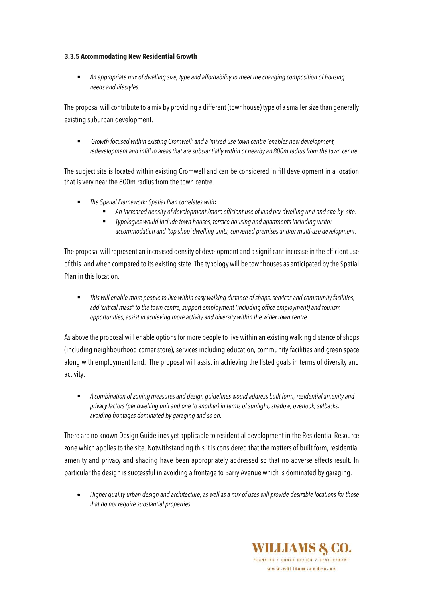#### **3.3.5 Accommodating New Residential Growth**

§ *An appropriate mix of dwelling size, type and affordability to meet the changing composition of housing needs and lifestyles.* 

The proposal will contribute to a mix by providing a different (townhouse) type of a smaller size than generally existing suburban development.

§ *'Growth focused within existing Cromwell' and a 'mixed use town centre 'enables new development, redevelopment and infill to areas that are substantially within or nearby an 800m radius from the town centre.* 

The subject site is located within existing Cromwell and can be considered in fill development in a location that is very near the 800m radius from the town centre.

- § *The Spatial Framework: Spatial Plan correlates with:* 
	- § *An increased density of development /more efficient use of land per dwelling unit and site-by- site.*
	- § *Typologies would include town houses, terrace housing and apartments including visitor accommodation and 'top shop' dwelling units, converted premises and/or multi-use development.*

The proposal will represent an increased density of development and a significant increase in the efficient use of this land when compared to its existing state. The typology will be townhouses as anticipated by the Spatial Plan in this location.

§ *This will enable more people to live within easy walking distance of shops, services and community facilities, add 'critical mass" to the town centre, support employment (including office employment) and tourism opportunities, assist in achieving more activity and diversity within the wider town centre.* 

As above the proposal will enable options for more people to live within an existing walking distance of shops (including neighbourhood corner store), services including education, community facilities and green space along with employment land. The proposal will assist in achieving the listed goals in terms of diversity and activity.

§ *A combination of zoning measures and design guidelines would address built form, residential amenity and privacy factors (per dwelling unit and one to another) in terms of sunlight, shadow, overlook, setbacks, avoiding frontages dominated by garaging and so on.* 

There are no known Design Guidelines yet applicable to residential development in the Residential Resource zone which applies to the site. Notwithstanding this it is considered that the matters of built form, residential amenity and privacy and shading have been appropriately addressed so that no adverse effects result. In particular the design is successful in avoiding a frontage to Barry Avenue which is dominated by garaging.

• *Higher quality urban design and architecture, as well as a mix of uses will provide desirable locations for those that do not require substantial properties.* 

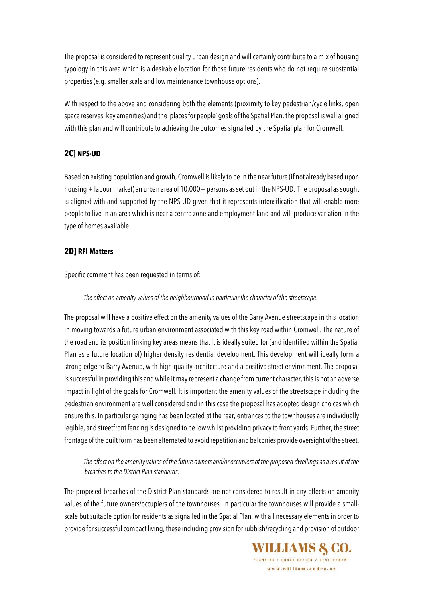The proposal is considered to represent quality urban design and will certainly contribute to a mix of housing typology in this area which is a desirable location for those future residents who do not require substantial properties (e.g. smaller scale and low maintenance townhouse options).

With respect to the above and considering both the elements (proximity to key pedestrian/cycle links, open space reserves, key amenities) and the 'places for people' goals of the Spatial Plan, the proposal is well aligned with this plan and will contribute to achieving the outcomes signalled by the Spatial plan for Cromwell.

# **2C] NPS-UD**

Based on existing population and growth, Cromwell is likely to be in the near future (if not already based upon housing +labour market) an urban area of 10,000+ persons as set out in the NPS-UD. The proposal as sought is aligned with and supported by the NPS-UD given that it represents intensification that will enable more people to live in an area which is near a centre zone and employment land and will produce variation in the type of homes available.

# **2D] RFI Matters**

Specific comment has been requested in terms of:

- *The effect on amenity values of the neighbourhood in particular the character of the streetscape.* 

The proposal will have a positive effect on the amenity values of the Barry Avenue streetscape in this location in moving towards a future urban environment associated with this key road within Cromwell. The nature of the road and its position linking key areas means that it is ideally suited for (and identified within the Spatial Plan as a future location of) higher density residential development. This development will ideally form a strong edge to Barry Avenue, with high quality architecture and a positive street environment. The proposal is successful in providing this and while it may represent a change from current character, this is not an adverse impact in light of the goals for Cromwell. It is important the amenity values of the streetscape including the pedestrian environment are well considered and in this case the proposal has adopted design choices which ensure this. In particular garaging has been located at the rear, entrances to the townhouses are individually legible, and streetfront fencing is designed to be low whilst providing privacy to front yards. Further, the street frontage of the built form has been alternated to avoid repetition and balconies provide oversight of the street.

- *The effect on the amenity values of the future owners and/or occupiers of the proposed dwellings as a result of the breaches to the District Plan standards.* 

The proposed breaches of the District Plan standards are not considered to result in any effects on amenity values of the future owners/occupiers of the townhouses. In particular the townhouses will provide a smallscale but suitable option for residents as signalled in the Spatial Plan, with all necessary elements in order to provide for successful compact living, these including provision for rubbish/recycling and provision of outdoor

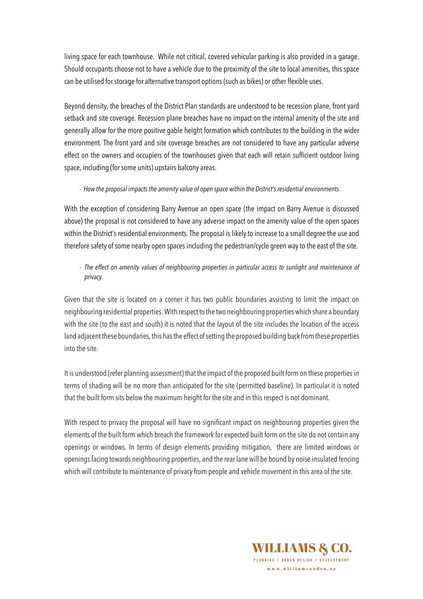living space for each townhouse. While not critical, covered vehicular parking is also provided in a garage. Should occupants choose not to have a vehicle due to the proximity of the site to local amenities, this space can be utilised for storage for alternative transport options (such as bikes) or other flexible uses.

Beyond density, the breaches of the District Plan standards are understood to be recession plane, front yard setback and site coverage. Recession plane breaches have no impact on the internal amenity of the site and generally allow for the more positive gable height formation which contributes to the building in the wider environment. The front yard and site coverage breaches are not considered to have any particular adverse effect on the owners and occupiers of the townhouses given that each will retain sufficient outdoor living space, including (for some units) upstairs balcony areas.

#### - *How the proposal impacts the amenity value of open space within the District's residential environments.*

With the exception of considering Barry Avenue an open space (the impact on Barry Avenue is discussed above) the proposal is not considered to have any adverse impact on the amenity value of the open spaces within the District's residential environments. The proposal is likely to increase to a small degree the use and therefore safety of some nearby open spaces including the pedestrian/cycle green way to the east of the site.

- *The effect on amenity values of neighbouring properties in particular access to sunlight and maintenance of privacy.* 

Given that the site is located on a corner it has two public boundaries assisting to limit the impact on neighbouring residential properties. With respect to the two neighbouring properties which share a boundary with the site (to the east and south) it is noted that the layout of the site includes the location of the access land adjacent these boundaries, this has the effect of setting the proposed building back from these properties into the site.

It is understood (refer planning assessment) that the impact of the proposed built form on these properties in terms of shading will be no more than anticipated for the site (permitted baseline). In particular it is noted that the built form sits below the maximum height for the site and in this respect is not dominant.

With respect to privacy the proposal will have no significant impact on neighbouring properties given the elements of the built form which breach the framework for expected built form on the site do not contain any openings or windows. In terms of design elements providing mitigation, there are limited windows or openings facing towards neighbouring properties, and the rear lane will be bound by noise insulated fencing which will contribute to maintenance of privacy from people and vehicle movement in this area of the site.